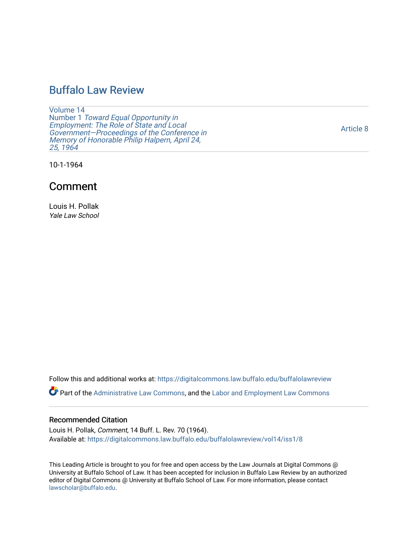# [Buffalo Law Review](https://digitalcommons.law.buffalo.edu/buffalolawreview)

[Volume 14](https://digitalcommons.law.buffalo.edu/buffalolawreview/vol14) Number 1 [Toward Equal Opportunity in](https://digitalcommons.law.buffalo.edu/buffalolawreview/vol14/iss1)  [Employment: The Role of State and Local](https://digitalcommons.law.buffalo.edu/buffalolawreview/vol14/iss1)  [Government—Proceedings of the Conference in](https://digitalcommons.law.buffalo.edu/buffalolawreview/vol14/iss1)  [Memory of Honorable Philip Halpern, April 24,](https://digitalcommons.law.buffalo.edu/buffalolawreview/vol14/iss1)  [25, 1964](https://digitalcommons.law.buffalo.edu/buffalolawreview/vol14/iss1) 

[Article 8](https://digitalcommons.law.buffalo.edu/buffalolawreview/vol14/iss1/8) 

10-1-1964

# Comment

Louis H. Pollak Yale Law School

Follow this and additional works at: [https://digitalcommons.law.buffalo.edu/buffalolawreview](https://digitalcommons.law.buffalo.edu/buffalolawreview?utm_source=digitalcommons.law.buffalo.edu%2Fbuffalolawreview%2Fvol14%2Fiss1%2F8&utm_medium=PDF&utm_campaign=PDFCoverPages) 

Part of the [Administrative Law Commons,](http://network.bepress.com/hgg/discipline/579?utm_source=digitalcommons.law.buffalo.edu%2Fbuffalolawreview%2Fvol14%2Fiss1%2F8&utm_medium=PDF&utm_campaign=PDFCoverPages) and the [Labor and Employment Law Commons](http://network.bepress.com/hgg/discipline/909?utm_source=digitalcommons.law.buffalo.edu%2Fbuffalolawreview%2Fvol14%2Fiss1%2F8&utm_medium=PDF&utm_campaign=PDFCoverPages) 

## Recommended Citation

Louis H. Pollak, Comment, 14 Buff. L. Rev. 70 (1964). Available at: [https://digitalcommons.law.buffalo.edu/buffalolawreview/vol14/iss1/8](https://digitalcommons.law.buffalo.edu/buffalolawreview/vol14/iss1/8?utm_source=digitalcommons.law.buffalo.edu%2Fbuffalolawreview%2Fvol14%2Fiss1%2F8&utm_medium=PDF&utm_campaign=PDFCoverPages) 

This Leading Article is brought to you for free and open access by the Law Journals at Digital Commons @ University at Buffalo School of Law. It has been accepted for inclusion in Buffalo Law Review by an authorized editor of Digital Commons @ University at Buffalo School of Law. For more information, please contact [lawscholar@buffalo.edu](mailto:lawscholar@buffalo.edu).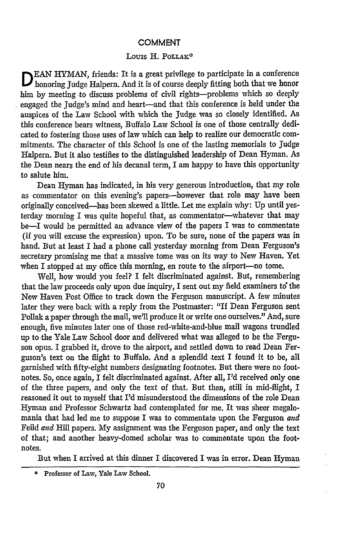#### **COMMENT**

#### Louis H. POLLAK\*

**EAN HYMAN, friends: It is a great privilege to participate in a conference** D honoring Judge Halpern. And it is of course deeply fitting both that we honor him by meeting to discuss problems of civil rights-problems which so deeply engaged the Judge's mind and heart-and that this conference is held under the auspices of the Law School with which the Judge was so closely identified. As this conference bears witness, Buffalo Law School is one of those centrally dedicated to fostering those uses of law which can help to realize our democratic commitments. The character of this School is one of the lasting memorials to Judge Halpern. But it also testifies to the distinguished leadership of Dean Hyman. As the Dean nears the end of his decanal term, I am happy to have this opportunity to salute him.

Dean Hyman has indicated, in his very generous introduction, that my role as commentator on this evening's papers-however that role may have been originally conceived-has been skewed a little. Let me explain why: Up until yesterday morning I was quite hopeful that, as commentator-whatever that may be-I would be permitted an advance view of the papers I was to commentate (if you will excuse the expression) upon. To be sure, none of the papers was in hand. But at least I had a phone call yesterday morning from Dean Ferguson's secretary promising me that a massive tome was on its way to New Haven. Yet when I stopped at my office this morning, en route to the airport—no tome.

Well, how would you feel? I felt discriminated against. But, remembering that the law proceeds only upon due inquiry, I sent out my field examiners to the New Haven Post Office to track down the Ferguson manuscript. A few minutes later they were back with a reply from the Postmaster: "If Dean Ferguson sent Pollak a paper through the mail, we'll produce it or write one ourselves." And, sure enough, five minutes later one of those red-white-and-blue mail wagons trundled up to -the Yale Law School door and delivered what was alleged to be the Ferguson opus. I grabbed it, drove to the airport, and settled down to read Dean Ferguson's text on the flight to Buffalo. And a splendid text I found it to be, all garnished with fifty-eight numbers designating footnotes. But there were no footnotes. So, once again, I felt discriminated against. After all, I'd received only one of the three papers, and only the text of that. But then, still in mid-flight, I reasoned it out to myself that *I'd* misunderstood the dimensions of the role Dean Hyman and Professor Schwartz had contemplated for me. It was sheer megalomania that had led me to suppose I was to commentate upon the Ferguson *and* Feild *and* Hill papers. My assignment was the Ferguson paper, and only the text of that; and another heavy-domed scholar was to commentate upon the footnotes.

But when I arrived at this dinner I discovered I was in error. Dean Hyman

<sup>\*</sup>Professor of Law, Yale Law School.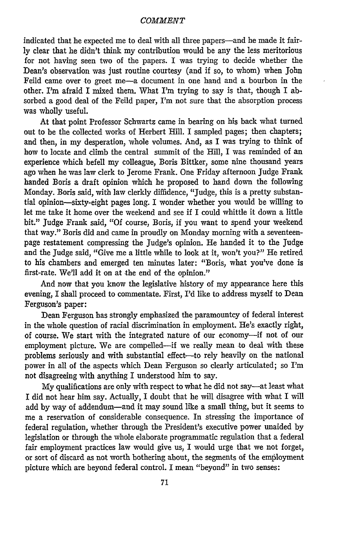#### *COMMENT*

indicated that he expected me to deal with all three papers-and he made it fairly clear that he didn't think my contribution would be any the less meritorious for not having seen two of the papers. I was trying to decide whether the Dean's observation was just routine courtesy (and if so, to whom) when John Feild came over to greet me-a document in one hand and a bourbon in the other. I'm afraid I mixed them. What I'm trying to say is that, though I absorbed a good deal of the Feild paper, I'm not sure that the absorption process was wholly useful.

At that point Professor Schwartz came in bearing on his back what turned out to be the collected works of Herbert Hill. I sampled pages; then chapters; and then, in my desperation, whole volumes. And, as I was trying to think of how to locate and climb the central summit of the Hill, I was reminded of an experience which befell my colleague, Boris Bittker, some nine thousand years ago when he was law clerk to Jerome Frank. One Friday afternoon Judge Frank handed Boris a draft opinion which he proposed to hand down the following Monday. Boris said, with law clerkly diffidence, "Judge, this is a pretty substantial opinion-sixty-eight pages long. I wonder whether you would be willing to let me take it home over the weekend and see if I could whittle it down a little bit." Judge Frank said, **"Of** course, Boris, if you want to spend your weekend that way." Boris did and came in proudly on Monday morning with a seventeenpage restatement compressing the Judge's opinion. He handed it to the Judge and the Judge said, "Give me a little while to look at it, won't you?" He retired to his chambers and emerged ten minutes later: "Boris, what you've done is first-rate. We'll add it on at the end of the opinion."

And now that you know the legislative history of my appearance here this evening, I shall proceed to commentate. First, I'd like to address myself to Dean Ferguson's paper:

Dean Ferguson has strongly emphasized the paramountcy of federal interest in the whole question of racial discrimination in employment. He's exactly right, of course. We start with the integrated nature of our economy-if not of our employment picture. We are compelled-if we really mean to deal with these problems seriously and with substantial effect-to rely heavily on the national power in all of the aspects which Dean Ferguson so clearly articulated; so I'm not disagreeing with anything I understood him to say.

My qualifications are only with respect to what he did not say-at least what I did not hear him say. Actually, I doubt that he will disagree with what I will add by way of addendum-and it may sound like a small thing, but it seems to me a reservation of considerable consequence. In stressing the importance of federal regulation, whether through the President's executive power unaided by legislation or through the whole elaborate programmatic regulation that a federal fair employment practices law would give us, I would urge that we not forget, or sort of discard as not worth bothering about, the segments of the employment picture which are beyond federal control. I mean "beyond" in two senses: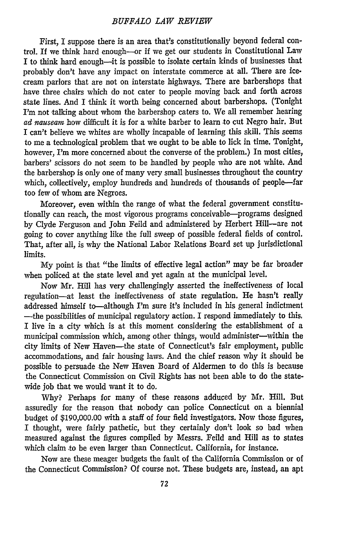First, I suppose there is an area that's constitutionally beyond federal control. If we think hard enough--or if we get our students in Constitutional Law I to think hard enough-it is possible to isolate certain kinds of businesses that probably don't have any impact on interstate commerce at all. There are icecream parlors that are not on interstate highways. There are barbershops that have three chairs which do not cater to people moving back and forth across state lines. And I think it worth being concerned about barbershops. (Tonight I'm not talking about whom the barbershop caters to. We all remember hearing *ad nauseam* how difficult it is for a white barber to learn to cut Negro hair. But I can't believe we whites are wholly incapable of learning this skill. This seems to me a technological problem that we ought to be able to lick in time. Tonight, however, I'm more concerned about the converse of the problem.) In most cities, barbers' scissors do not seem to be handled by people who are not white. And the barbershop is only one of many very small businesses throughout the country which, collectively, employ hundreds and hundreds of thousands of people-far too few of whom are Negroes.

Moreover, even within the range of what the federal government constitutionally can reach, the most vigorous programs conceivable-programs designed by Clyde Ferguson and John Feild and administered by Herbert Hill-are not going to cover anything like the full sweep of possible federal fields of control. That, after all, is why the National Labor Relations Board set up jurisdictional limits.

My point is that "the limits of effective legal action" may be far broader when policed at the state level and yet again at the municipal level.

Now Mr. Hill has very challengingly asserted the ineffectiveness of local regulation-at least the ineffectiveness of state regulation. He hasn't really addressed himself to-although I'm sure it's included in his general indictment -the possibilities of municipal regulatory action. I respond immediately to this. I live in a city which is at this moment considering the establishment of a municipal commission which, among other things, would administer-within the city limits of New Haven-the state of Connecticut's fair employment, public accommodations, and fair housing laws. And the chief reason why it should be possible to persuade the New Haven Board of Aldermen to do this is because the Connecticut Commission on Civil Rights has not been able to do the statewide job that we would want it to do.

Why? Perhaps for many of these reasons adduced by Mr. Hill. But assuredly for the reason that nobody can police Connecticut on a biennial budget of \$190,000.00 with a staff of four field investigators. Now those figures, I thought, were fairly pathetic, but they certainly don't look so bad when measured against the figures compiled by Messrs. Feild and Hill as to states which claim to be even larger than Connecticut. California, for instance.

Now are these meager budgets the fault of the California Commission or of the Connecticut Commission? Of course not. These budgets are, instead, an apt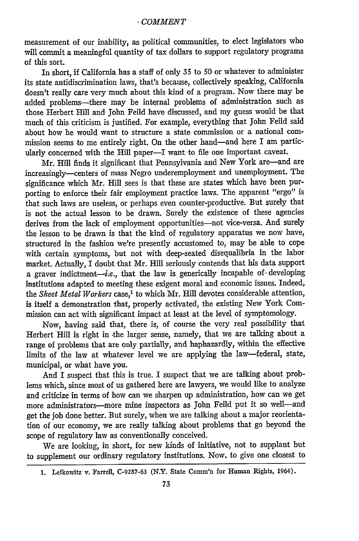measurement of our inability, as political communities, to elect legislators who will commit a meaningful quantity of tax dollars to support regulatory programs of this sort.

In short, if California has a staff of only 35 to 50 or whatever to administer its state antidiscrimination laws, that's because, collectively speaking, California doesn't really care very much about this kind of a program. Now there may be added problems-there may be internal problems of administration such as those Herbert Hill and John Feild have discussed, and my guess would be that much of this criticism is justified. For example, everything that John Feild said about how he would want to structure a state commission or a national commission seems to me entirely right. On the other hand-and here I am particularly concerned with the Hill paper-I want to file one important caveat.

Mr. Hill finds it significant that Pennsylvania and New York are-and are increasingly-centers of mass Negro underemployment and unemployment. The significance which Mr. Hill sees is that these are states which have been purporting to enforce their fair employment practice laws. The apparent "ergo" is that such laws are useless, or perhaps even counter-productive. But surely that is not the actual lesson to be drawn. Surely the existence of these agencies derives from the lack of employment opportunities-not vice-versa. And surely the lesson to be drawn is that the kind of regulatory apparatus we now have, structured in the fashion we're presently accustomed to, may be able to cope with certain symptoms, but not with deep-seated disequalibria in the labor market. Actually, I doubt that Mr. Hill seriously contends that his data support a graver indictment-i.e., that the law is generically incapable of developing institutions adapted to meeting these exigent moral and economic issues. Indeed, the Sheet Metal Workers case,<sup>1</sup> to which Mr. Hill devotes considerable attention, is itself a demonstration that, properly activated, the existing New York Commission can act with significant impact at least at the level of symptomology.

Now, having said that, there is, of course the very real possibility that Herbert Hill is right in the larger sense, namely, that we are talking about a range of problems that are only partially, and haphazardly, within the effective limits of the law at whatever level we are applying the law-federal, state, municipal, or what have you.

And I suspect that this is true. I suspect that we are talking about problems which, since most of us gathered here are lawyers, we would like to analyze and criticize in terms of how can we sharpen up administration, how can we get more administrators-more mine inspectors as John Feild put it so well-and get the job done better. But surely, when we are talking about a major reorientation of our economy, we are really talking about problems that go beyond the scope of regulatory law as conventionally conceived.

We are looking, in short, for new kinds of initiative, not to supplant but to supplement our ordinary regulatory institutions. Now, to give one closest to

**<sup>1.</sup>** Lefkowitz v. Farrel, C-9287-63 (N.Y. State Comm'n for Human Rights, 1964).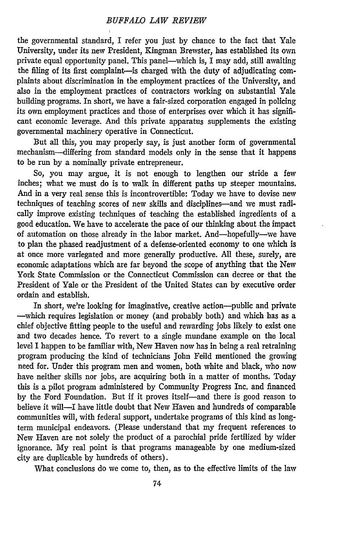the governmental standard, I refer you just **by** chance to the fact that Yale University, under its new President, Kingman Brewster, has established its own private equal opportunity panel. This panel-which is, I may add, still awaiting the filing of its first complaint-is charged with the duty of adjudicating complaints about discrimination in the employment practices of the University, and also in the employment practices of contractors working on substantial Yale building programs. In short, we have a fair-sized corporation engaged in policing its own employment practices and those of enterprises over which it has significant economic leverage. And this private apparatus supplements the existing governmental machinery operative in Connecticut.

But all this, you may properly say, is just another form of governmental mechanism--differing from standard models only in the sense that it happens to be run by a nominally private entrepreneur.

So, you may argue, it is not enough to lengthen our stride a few inches; what we must do is to walk in different paths up steeper mountains. And in a very real sense this is incontrovertible: Today we have to devise new techniques of teaching scores of new skills and disciplines-and we must radically improve existing techniques of teaching the established ingredients of a good education. We have to accelerate the pace of our thinking about the impact of automation on those already in the labor market. And-hopefully--we have to plan the phased readjustment of a defense-oriented economy to one which is at once more variegated and more generally productive. All these, surely, are economic adaptations which are far beyond the scope of anything that the New York State Commission or the Connecticut Commission can decree or that the President of Yale or the President of the United States can by executive order ordain and establish.

In short, we're looking for imaginative, creative action-public and private -which requires legislation or money (and probably both) and which has as a chief objective fitting people to the useful and rewarding jobs likely to exist one and two decades hence. To revert to a single mundane example on the local level I happen to be familiar with, New Haven now has in being a real retraining program producing the kind of technicians John Feild mentioned the growing need for. Under this program men and women, both white and black, who now have neither skills nor jobs, are acquiring both in a matter of months. Today this is a pilot program administered by Community Progress Inc. and financed by the Ford Foundation. But if it proves itself-and there is good reason to believe it will-I have little doubt that New Haven and hundreds of comparable communities will, with federal support, undertake programs of this kind as longterm municipal endeavors. (Please understand that my frequent references to New Haven are not solely the product of a parochial pride fertilized by wider ignorance. My real point is that programs manageable by one medium-sized city are duplicable by hundreds of others).

What conclusions do we come to, then, as to the effective limits of the law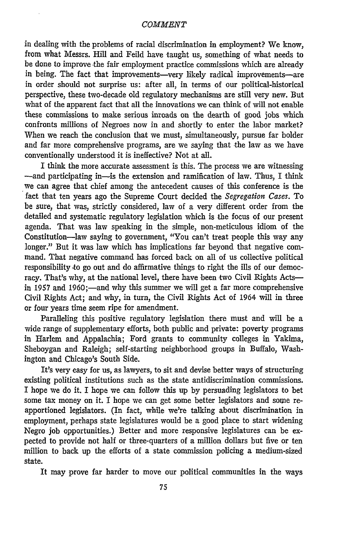#### *COMMENT*

in dealing with the problems of racial discrimination in employment? We know, from what Messrs. Hill and Feild have taught us, something of what needs to be done to improve the fair employment practice commissions which are already in being. The fact that improvements-very likely radical improvements-are in order should not surprise us: after all, in terms of our political-historical perspective, these two-decade old regulatory mechanisms are still very new. But what of the apparent fact that all the innovations we can think of will not enable these commissions to make serious inroads on the dearth of good jobs which confronts millions of Negroes now in and shortly to enter the labor market? When we reach the conclusion that we must, simultaneously, pursue far bolder and far more comprehensive programs, are we saying that the law as we have conventionally understood it is ineffective? Not at all.

I think the more accurate assessment is this. The process we are witnessing -and participating in-is the extension and ramification of law. Thus, I think we can agree that chief among the antecedent causes of this conference is the fact that ten years ago the Supreme Court decided the *Segregation Cases.* To be sure, that was, strictly considered, law of a very different order from the detailed and systematic regulatory legislation which is the focus of our present agenda. That was law speaking in the simple, non-meticulous idiom of the Constitution-law saying to government, "You can't treat people this way any longer." But it was law which has implications far beyond that negative command. That negative command has forced back on all of us collective political responsibility to go out and do affirmative things to right the ills of our democracy. That's why, at the national level, there have been two Civil Rights Actsin 1957 and 1960;—and why this summer we will get a far more comprehensive Civil Rights Act; and why, in turn, the Civil Rights Act of 1964 will in three or four years time seem ripe for amendment.

Paralleling this positive regulatory legislation there must and will be a wide range of supplementary efforts, both public and private: poverty programs in Harlem and Appalachia; Ford grants to community colleges in Yakima, Sheboygan and Raleigh; self-starting neighborhood groups in Buffalo, Washington and Chicago's South Side.

It's very easy for us, as lawyers, to sit and devise better ways of structuring existing political institutions such as the state antidiscrimination commissions. I hope we do it. I hope we can follow this up by persuading legislators to bet some tax money on it. I hope we can get some better legislators and some reapportioned legislators. (In fact, while we're talking about discrimination in employment, perhaps state legislatures would be a good place to start widening Negro job opportunities.) Better and more responsive legislatures can be expected to provide not half or three-quarters of a million dollars but five or ten million to back up the efforts of a state commission policing a medium-sized state.

It may prove far harder to move our political communities in the ways